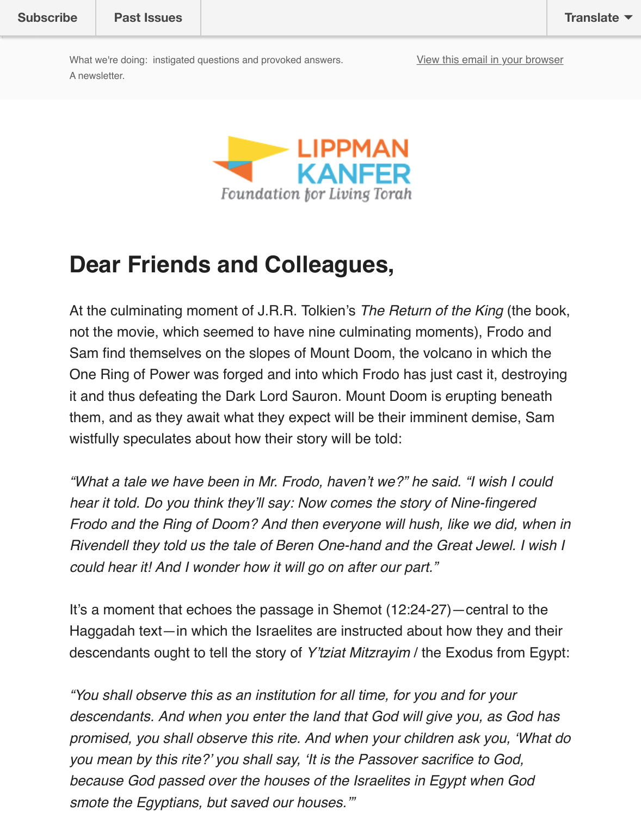

### **Dear Friends and Colleagues,**

At the culminating moment of J.R.R. Tolkien's *The Return of the King* (the book) not the movie, which seemed to have nine culminating moments), Frodo and Sam find themselves on the slopes of Mount Doom, the volcano in which the One Ring of Power was forged and into which Frodo has just cast it, destroy it and thus defeating the Dark Lord Sauron. Mount Doom is erupting beneat them, and as they await what they expect will be their imminent demise, San wistfully speculates about how their story will be told:

"What a tale we have been in Mr. Frodo, haven't we?" he said. "I wish I coul *hear it told. Do you think they'll say: Now comes the story of Nine-fingered Frodo and the Ring of Doom? And then everyone will hush, like we did, when Rivendell they told us the tale of Beren One-hand and the Great Jewel. I wish Pivendell they told us the tale of Beren One-hand and the Great Jewel. I wish Rivendell could hear it! And I wonder how it will go on after our part."*

It's a moment that echoes the passage in Shemot (12:24-27)—central to the Haggadah text—in which the Israelites are instructed about how they and the descendants ought to tell the story of *Y'tziat Mitzrayim* / the Exodus from Eg

*"You shall observe this as an institution for all time, for you and for your* descendants. And when you enter the land that God will give you, as God h promised, you shall observe this rite. And when your children ask you, 'What *you mean by this rite?' you shall say, 'It is the Passover sacrifice to God, because God passed over the houses of the Israelites in Egypt when God smote the Egyptians, but saved our houses.'"*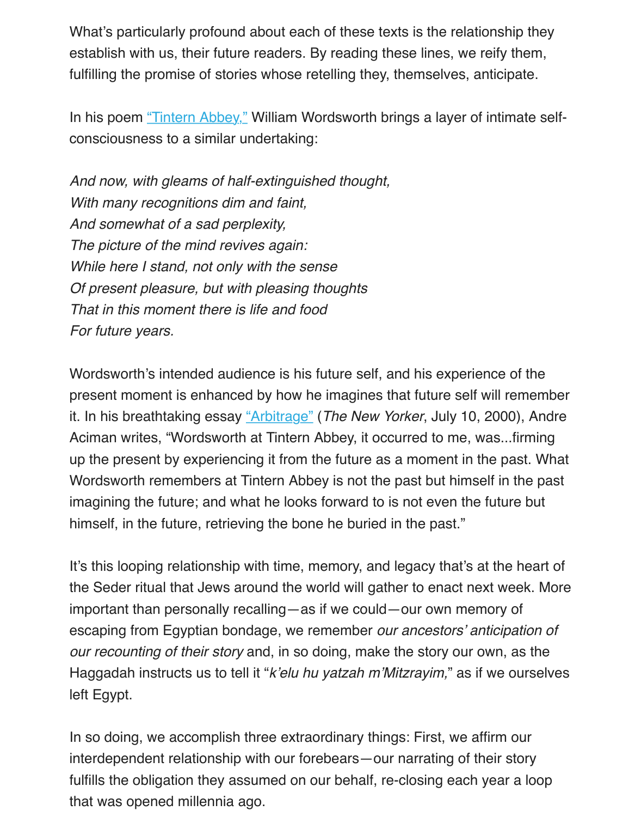In his poem "Tintern Abbey," William Wordsworth brings a layer of intimate selfconsciousness to a similar undertaking:

*And now, with gleams of half-extinguished thought, With many recognitions dim and faint, And somew[hat of a sad perp](https://www.poetryfoundation.org/poems-and-poets/poems/detail/45527)lexity, The picture of the mind revives again: While here I stand, not only with the sense Of present pleasure, but with pleasing thoughts That in this moment there is life and food For future years.*

Wordsworth's intended audience is his future self, and his experience of the present moment is enhanced by how he imagines that future self will remen it. In his breathtaking essay "Arbitrage" (*The New Yorker*, July 10, 2000), And Aciman writes, "Wordsworth at Tintern Abbey, it occurred to me, was...firming up the present by experiencing it from the future as a moment in the past. What Wordsworth remembers at Tintern Abbey is not the past but himself in the past imagining the future; and what he looks forward to is not even the future but himself, in the future, retriev[ing the bon](http://www.newyorker.com/magazine/2000/07/10/arbitrage)e he buried in the past."

It's this looping relationship with time, memory, and legacy that's at the hear the Seder ritual that Jews around the world will gather to enact next week. No important than personally recalling—as if we could—our own memory of escaping from Egyptian bondage, we remember *our ancestors' anticipation our recounting of their story* and, in so doing, make the story our own, as the Haggadah instructs us to tell it "*k'elu hu yatzah m'Mitzrayim*," as if we ourse left Egypt.

In so doing, we accomplish three extraordinary things: First, we affirm our interdependent relationship with our forebears—our narrating of their story fulfills the obligation they assumed on our behalf, re-closing each year a loo that was opened millennia ago.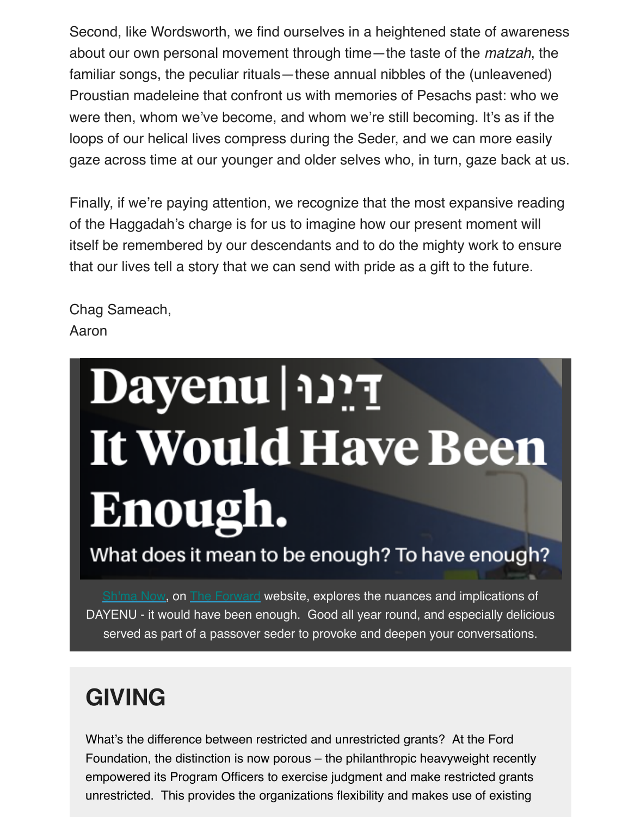were then, whom we've become, and whom we're still becoming. It's as if the loops of our helical lives compress during the Seder, and we can more easil gaze across time at our younger and older selves who, in turn, gaze back at

Finally, if we're paying attention, we recognize that the most expansive read of the Haggadah's charge is for us to imagine how our present moment will itself be remembered by our descendants and to do the mighty work to ensure that our lives tell a story that we can send with pride as a gift to the future.

Chag Sameach, Aaron

# Etce | Dayenu It Would Have Been Enough.

What does it mean to be enough? To have enough?

Sh'ma Now, on The Forward website, explores the nuances and implications of DAYENU - it would have been enough. Good all year round, and especially delicious served as part of a passover seder to provoke and deepen your conversations.

# **[GIVING](http://forward.com/shma-now/)**

What's the difference between restricted and unrestricted grants? At the Ford Foundation, the distinction is now porous – the philanthropic heavyweight recently empowered its Program Officers to exercise judgment and make restricted grants unrestricted. This provides the organizations flexibility and makes use of existing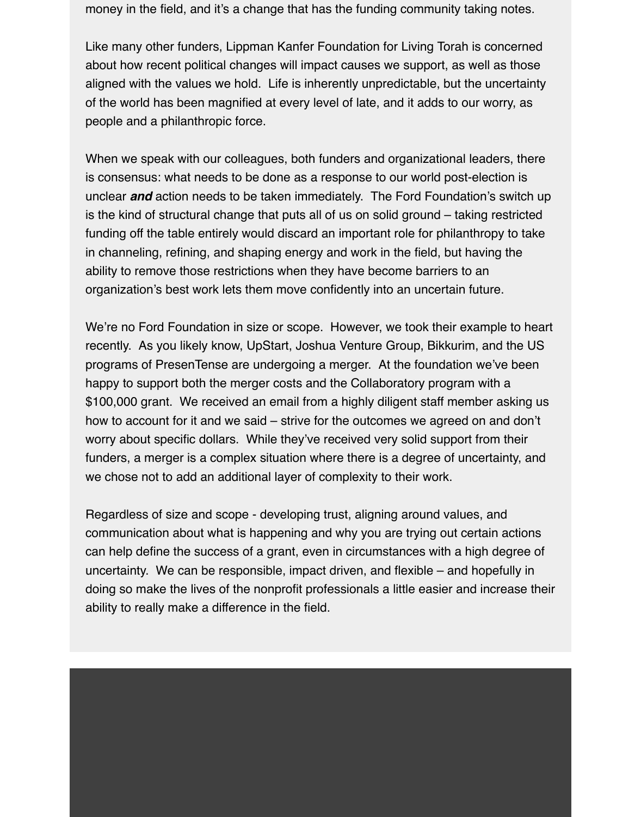money in the field, and it's a change that has the funding community taking notes.

Like many other funders, Lippman Kanfer Foundation for Living Torah is concerned about how recent political changes will impact causes we support, as well as those aligned with the values we hold. Life is inherently unpredictable, but the uncertainty of the world has been magnified at every level of late, and it adds to our worry, as people and a philanthropic force.

When we speak with our colleagues, both funders and organizational leaders, there is consensus: what needs to be done as a response to our world post-election is unclear *and* action needs to be taken immediately. The Ford Foundation's switch up is the kind of structural change that puts all of us on solid ground – taking restricted funding off the table entirely would discard an important role for philanthropy to take in channeling, refining, and shaping energy and work in the field, but having the ability to remove those restrictions when they have become barriers to an organization's best work lets them move confidently into an uncertain future.

We're no Ford Foundation in size or scope. However, we took their example to heart recently. As you likely know, UpStart, Joshua Venture Group, Bikkurim, and the US programs of PresenTense are undergoing a merger. At the foundation we've been happy to support both the merger costs and the Collaboratory program with a \$100,000 grant. We received an email from a highly diligent staff member asking us how to account for it and we said – strive for the outcomes we agreed on and don't worry about specific dollars. While they've received very solid support from their funders, a merger is a complex situation where there is a degree of uncertainty, and we chose not to add an additional layer of complexity to their work.

Regardless of size and scope - developing trust, aligning around values, and communication about what is happening and why you are trying out certain actions can help define the success of a grant, even in circumstances with a high degree of uncertainty. We can be responsible, impact driven, and flexible – and hopefully in doing so make the lives of the nonprofit professionals a little easier and increase their ability to really make a difference in the field.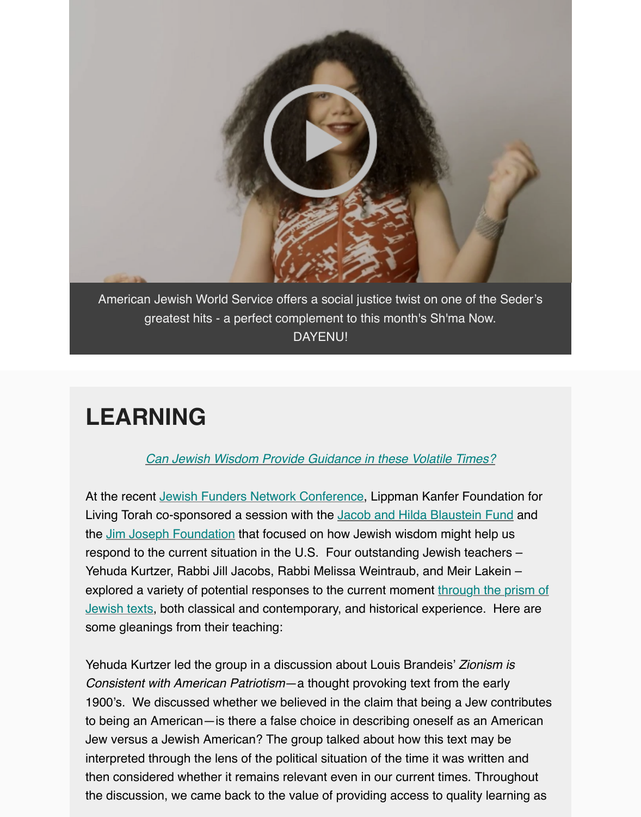

[American Jewish World Service offers a social justice twist on one of the Seder's](https://youtu.be/ldneQOF5WH0) greatest hits - a perfect complement to this month's Sh'ma Now. DAYENU!

## **LEARNING**

#### *Can Jewish Wisdom Provide Guidance in these Volatile Times?*

At the recent Jewish Funders Network Conference, Lippman Kanfer Foundation for Living Torah co-sponsored a session with the Jacob and Hilda Blaustein Fund and the Jim Joseph Foundation that focused on how Jewish wisdom might help us respond to the current situation in the U.S. Four outstanding Jewish teachers – Yehuda K[urtzer, Rabbi Jill Jacobs, Rabbi Melissa Weintraub, and Meir Lake](https://gallery.mailchimp.com/bf382412726c0a2769ab0922a/files/120c2992-83f2-473f-9945-9f139559c034/Jewish_Wisdom_in_a_New_America_a_sourcebook_from_Lippman_Kanfer_Foundation_for_Living_Torah.pdf)in – explored a variety of potential responses to the current moment through the prism of Jewish texts, [both classical and contemporary, and](http://www.jfunders.org/jfn-international-conference) historical experience. Here are some gleanings from their teaching:

Yehuda Kurtzer led the group in a discussion about Louis Brandeis' *Zionism is Consistent with American Patriotism*—a thought provoking text from the early 1900's. We discussed whether we believed in the claim that being a Jew contribute to being an American—is there a false choice in describing oneself as an American Jew versus a Jewish American? The group talked about how this text may be interpreted through the lens of the political situation of the time it was written and then considered whether it remains relevant even in our current times. Throughout the discussion, we came back to the value of providing access to quality learning as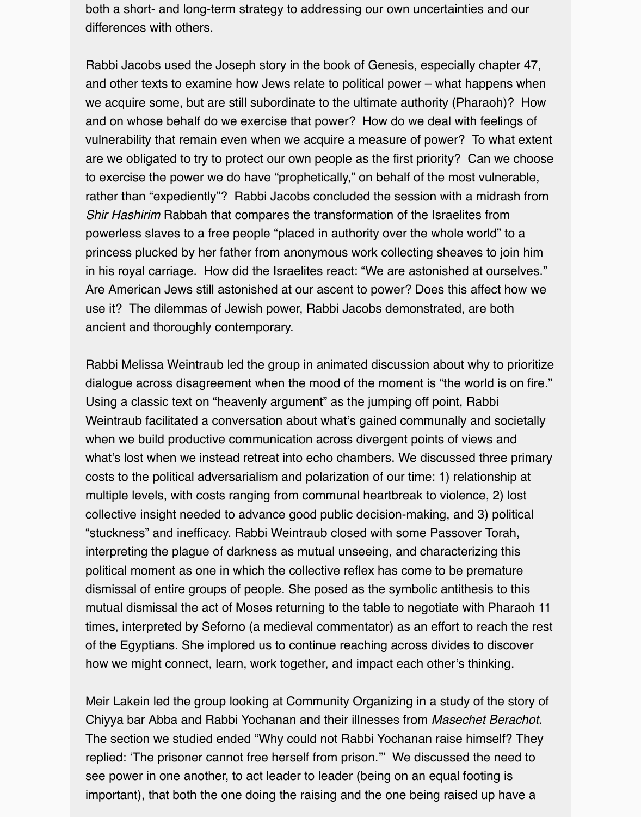both a short- and long-term strategy to addressing our own uncertainties and our differences with others.

Rabbi Jacobs used the Joseph story in the book of Genesis, especially chapter 47, and other texts to examine how Jews relate to political power – what happens when we acquire some, but are still subordinate to the ultimate authority (Pharaoh)? How and on whose behalf do we exercise that power? How do we deal with feelings of vulnerability that remain even when we acquire a measure of power? To what extent are we obligated to try to protect our own people as the first priority? Can we choose to exercise the power we do have "prophetically," on behalf of the most vulnerable, rather than "expediently"? Rabbi Jacobs concluded the session with a midrash from *Shir Hashirim* Rabbah that compares the transformation of the Israelites from powerless slaves to a free people "placed in authority over the whole world" to a princess plucked by her father from anonymous work collecting sheaves to join him in his royal carriage. How did the Israelites react: "We are astonished at ourselves." Are American Jews still astonished at our ascent to power? Does this affect how we use it? The dilemmas of Jewish power, Rabbi Jacobs demonstrated, are both ancient and thoroughly contemporary.

Rabbi Melissa Weintraub led the group in animated discussion about why to prioritize dialogue across disagreement when the mood of the moment is "the world is on fire." Using a classic text on "heavenly argument" as the jumping off point, Rabbi Weintraub facilitated a conversation about what's gained communally and societally when we build productive communication across divergent points of views and what's lost when we instead retreat into echo chambers. We discussed three primary costs to the political adversarialism and polarization of our time: 1) relationship at multiple levels, with costs ranging from communal heartbreak to violence, 2) lost collective insight needed to advance good public decision-making, and 3) political "stuckness" and inefficacy. Rabbi Weintraub closed with some Passover Torah, interpreting the plague of darkness as mutual unseeing, and characterizing this political moment as one in which the collective reflex has come to be premature dismissal of entire groups of people. She posed as the symbolic antithesis to this mutual dismissal the act of Moses returning to the table to negotiate with Pharaoh 11 times, interpreted by Seforno (a medieval commentator) as an effort to reach the rest of the Egyptians. She implored us to continue reaching across divides to discover how we might connect, learn, work together, and impact each other's thinking.

Meir Lakein led the group looking at Community Organizing in a study of the story of Chiyya bar Abba and Rabbi Yochanan and their illnesses from *Masechet Berachot*. The section we studied ended "Why could not Rabbi Yochanan raise himself? They replied: 'The prisoner cannot free herself from prison.'" We discussed the need to see power in one another, to act leader to leader (being on an equal footing is important), that both the one doing the raising and the one being raised up have a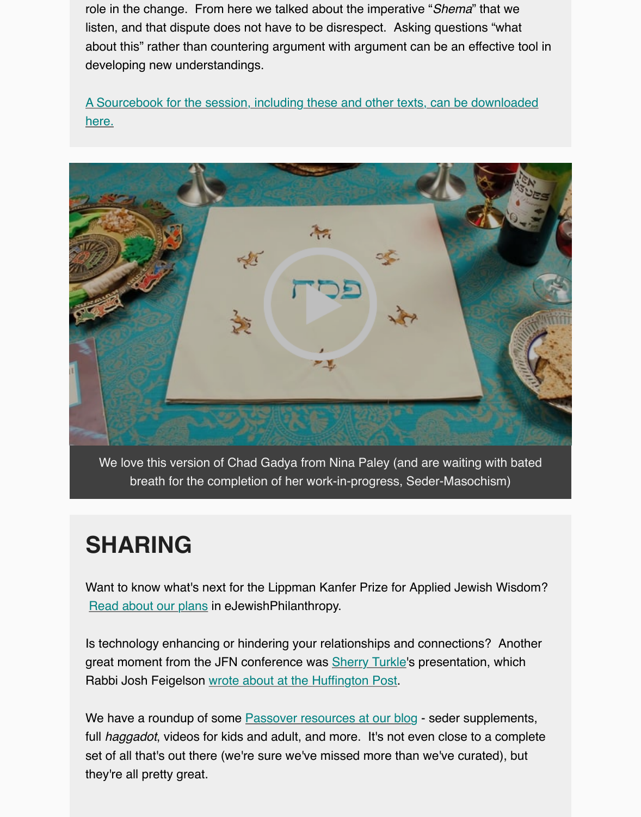here.

![](_page_6_Picture_1.jpeg)

[We love this version of Chad Gadya from Nina Paley \(and are waiting with bated](https://vimeo.com/133054221) breath for the completion of her work-in-progress, Seder-Masochism)

#### **SHARING**

Want to know what's next for the Lippman Kanfer Prize for Applied Jewish Wisdom? Read about our plans in eJewishPhilanthropy.

Is technology enhancing or hindering your relationships and connections? Another great moment from the JFN conference was **Sherry Turkle's presentation**, which Rabbi Josh Feigelson wrote about at the Huffington Post.

[We have a roundup of](http://ejewishphilanthropy.com/when-the-award-is-just-the-beginning-whats-next-for-the-lippman-kanfer-prize-for-applied-jewish-wisdom/?utm_source=April+5%2C+2017&utm_campaign=Wed+Apr+5&utm_medium=email) some **Passover resources at our blog** - seder supplements, full *haggadot*, videos for kids and adult, and more. It's not even close to a complete set of all that's out there (we're sure we've missed more than we've curated), but they're all pretty great.